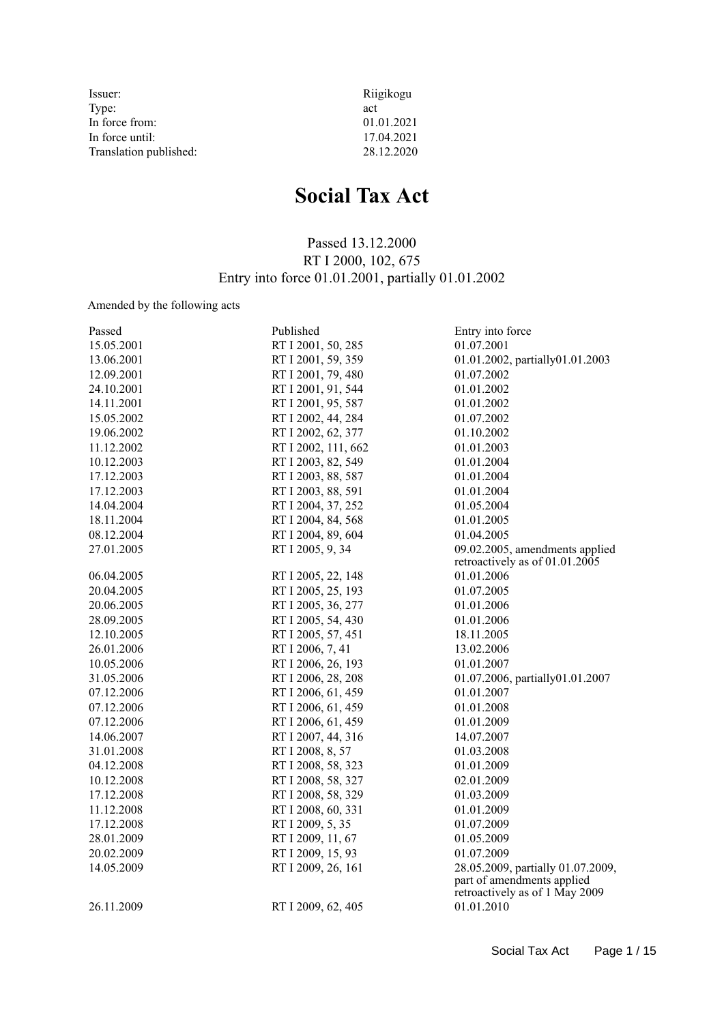| Issuer:                | Riigikogu  |
|------------------------|------------|
| Type:                  | act        |
| In force from:         | 01.01.2021 |
| In force until:        | 17.04.2021 |
| Translation published: | 28.12.2020 |

# **Social Tax Act**

# Passed 13.12.2000 RT I 2000, 102, 675 Entry into force 01.01.2001, partially 01.01.2002

# Amended by the following acts

| Passed     | Published           | Entry into force                                             |
|------------|---------------------|--------------------------------------------------------------|
| 15.05.2001 | RT I 2001, 50, 285  | 01.07.2001                                                   |
| 13.06.2001 | RT I 2001, 59, 359  | 01.01.2002, partially01.01.2003                              |
| 12.09.2001 | RT I 2001, 79, 480  | 01.07.2002                                                   |
| 24.10.2001 | RT I 2001, 91, 544  | 01.01.2002                                                   |
| 14.11.2001 | RT I 2001, 95, 587  | 01.01.2002                                                   |
| 15.05.2002 | RT I 2002, 44, 284  | 01.07.2002                                                   |
| 19.06.2002 | RT I 2002, 62, 377  | 01.10.2002                                                   |
| 11.12.2002 | RT I 2002, 111, 662 | 01.01.2003                                                   |
| 10.12.2003 | RT I 2003, 82, 549  | 01.01.2004                                                   |
| 17.12.2003 | RT I 2003, 88, 587  | 01.01.2004                                                   |
| 17.12.2003 | RT I 2003, 88, 591  | 01.01.2004                                                   |
| 14.04.2004 | RT I 2004, 37, 252  | 01.05.2004                                                   |
| 18.11.2004 | RT I 2004, 84, 568  | 01.01.2005                                                   |
| 08.12.2004 | RT I 2004, 89, 604  | 01.04.2005                                                   |
| 27.01.2005 | RT I 2005, 9, 34    | 09.02.2005, amendments applied                               |
|            |                     | retroactively as of $01.01.2005$                             |
| 06.04.2005 | RT I 2005, 22, 148  | 01.01.2006                                                   |
| 20.04.2005 | RT I 2005, 25, 193  | 01.07.2005                                                   |
| 20.06.2005 | RT I 2005, 36, 277  | 01.01.2006                                                   |
| 28.09.2005 | RT I 2005, 54, 430  | 01.01.2006                                                   |
| 12.10.2005 | RT I 2005, 57, 451  | 18.11.2005                                                   |
| 26.01.2006 | RT I 2006, 7, 41    | 13.02.2006                                                   |
| 10.05.2006 | RT I 2006, 26, 193  | 01.01.2007                                                   |
| 31.05.2006 | RT I 2006, 28, 208  | 01.07.2006, partially01.01.2007                              |
| 07.12.2006 | RT I 2006, 61, 459  | 01.01.2007                                                   |
| 07.12.2006 | RT I 2006, 61, 459  | 01.01.2008                                                   |
| 07.12.2006 | RT I 2006, 61, 459  | 01.01.2009                                                   |
| 14.06.2007 | RT I 2007, 44, 316  | 14.07.2007                                                   |
| 31.01.2008 | RT I 2008, 8, 57    | 01.03.2008                                                   |
| 04.12.2008 | RT I 2008, 58, 323  | 01.01.2009                                                   |
| 10.12.2008 | RT I 2008, 58, 327  | 02.01.2009                                                   |
| 17.12.2008 | RT I 2008, 58, 329  | 01.03.2009                                                   |
| 11.12.2008 | RT I 2008, 60, 331  | 01.01.2009                                                   |
| 17.12.2008 | RT I 2009, 5, 35    | 01.07.2009                                                   |
| 28.01.2009 | RT I 2009, 11, 67   | 01.05.2009                                                   |
| 20.02.2009 | RT I 2009, 15, 93   | 01.07.2009                                                   |
| 14.05.2009 | RT I 2009, 26, 161  | 28.05.2009, partially 01.07.2009,                            |
|            |                     | part of amendments applied<br>retroactively as of 1 May 2009 |
| 26.11.2009 | RT I 2009, 62, 405  | 01.01.2010                                                   |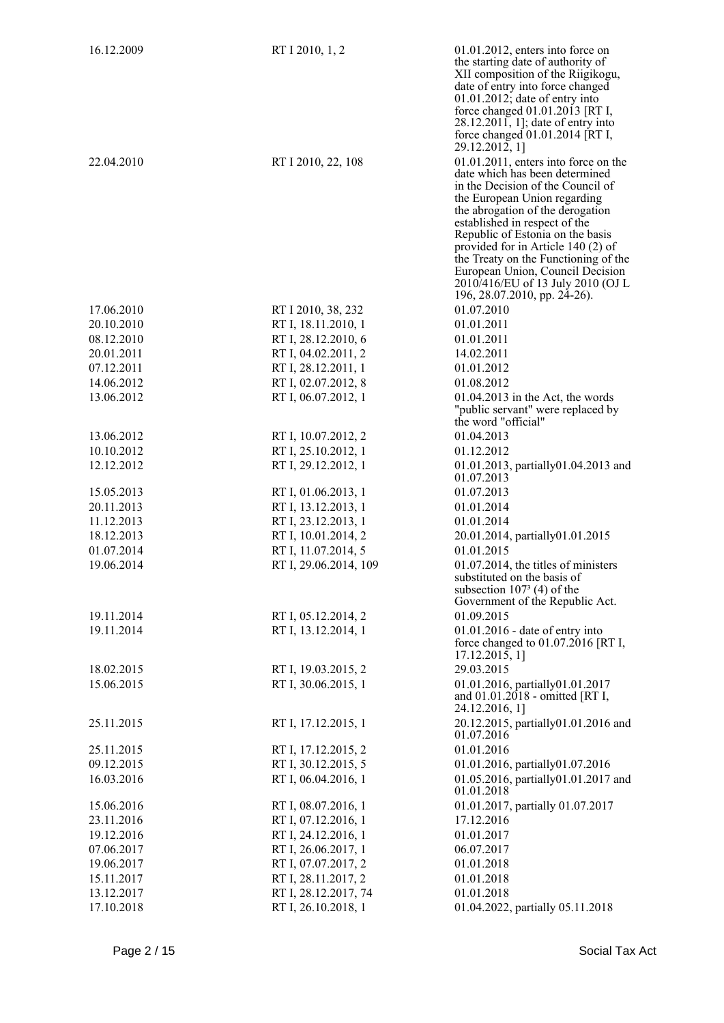| 16.12.2009 | RT I 2010, 1, 2       | $01.01.2012$ , enters into force on<br>the starting date of authority of<br>XII composition of the Riigikogu,<br>date of entry into force changed<br>$01.01.2012$ ; date of entry into                                                                                                                                                                                                                                                         |
|------------|-----------------------|------------------------------------------------------------------------------------------------------------------------------------------------------------------------------------------------------------------------------------------------------------------------------------------------------------------------------------------------------------------------------------------------------------------------------------------------|
|            |                       | force changed 01.01.2013 [RT I,<br>28.12.2011, 1]; date of entry into<br>force changed 01.01.2014 [RT I,<br>29.12.2012, 1]                                                                                                                                                                                                                                                                                                                     |
| 22.04.2010 | RT I 2010, 22, 108    | $01.01.2011$ , enters into force on the<br>date which has been determined<br>in the Decision of the Council of<br>the European Union regarding<br>the abrogation of the derogation<br>established in respect of the<br>Republic of Estonia on the basis<br>provided for in Article 140 (2) of<br>the Treaty on the Functioning of the<br>European Union, Council Decision<br>2010/416/EU of 13 July 2010 (OJ L<br>196, 28.07.2010, pp. 24-26). |
| 17.06.2010 | RT I 2010, 38, 232    | 01.07.2010                                                                                                                                                                                                                                                                                                                                                                                                                                     |
| 20.10.2010 | RT I, 18.11.2010, 1   | 01.01.2011                                                                                                                                                                                                                                                                                                                                                                                                                                     |
| 08.12.2010 | RT I, 28.12.2010, 6   | 01.01.2011                                                                                                                                                                                                                                                                                                                                                                                                                                     |
| 20.01.2011 | RT I, 04.02.2011, 2   | 14.02.2011                                                                                                                                                                                                                                                                                                                                                                                                                                     |
| 07.12.2011 | RT I, 28.12.2011, 1   | 01.01.2012                                                                                                                                                                                                                                                                                                                                                                                                                                     |
| 14.06.2012 | RT I, 02.07.2012, 8   | 01.08.2012                                                                                                                                                                                                                                                                                                                                                                                                                                     |
| 13.06.2012 | RT I, 06.07.2012, 1   | 01.04.2013 in the Act, the words<br>"public servant" were replaced by<br>the word "official"                                                                                                                                                                                                                                                                                                                                                   |
| 13.06.2012 | RT I, 10.07.2012, 2   | 01.04.2013                                                                                                                                                                                                                                                                                                                                                                                                                                     |
| 10.10.2012 | RT I, 25.10.2012, 1   | 01.12.2012                                                                                                                                                                                                                                                                                                                                                                                                                                     |
| 12.12.2012 | RT I, 29.12.2012, 1   | 01.01.2013, partially01.04.2013 and<br>01.07.2013                                                                                                                                                                                                                                                                                                                                                                                              |
| 15.05.2013 | RT I, 01.06.2013, 1   | 01.07.2013                                                                                                                                                                                                                                                                                                                                                                                                                                     |
| 20.11.2013 | RT I, 13.12.2013, 1   | 01.01.2014                                                                                                                                                                                                                                                                                                                                                                                                                                     |
| 11.12.2013 | RT I, 23.12.2013, 1   | 01.01.2014                                                                                                                                                                                                                                                                                                                                                                                                                                     |
| 18.12.2013 | RT I, 10.01.2014, 2   | 20.01.2014, partially01.01.2015                                                                                                                                                                                                                                                                                                                                                                                                                |
| 01.07.2014 | RT I, 11.07.2014, 5   | 01.01.2015                                                                                                                                                                                                                                                                                                                                                                                                                                     |
| 19.06.2014 | RT I, 29.06.2014, 109 | $01.07.2014$ , the titles of ministers<br>substituted on the basis of<br>subsection $1073$ (4) of the<br>Government of the Republic Act.                                                                                                                                                                                                                                                                                                       |
| 19.11.2014 | RT I, 05.12.2014, 2   | 01.09.2015                                                                                                                                                                                                                                                                                                                                                                                                                                     |
| 19.11.2014 | RT I, 13.12.2014, 1   | 01.01.2016 - date of entry into<br>force changed to $01.07.2016$ [RT I,<br>17.12.2015, 1                                                                                                                                                                                                                                                                                                                                                       |
| 18.02.2015 | RT I, 19.03.2015, 2   | 29.03.2015                                                                                                                                                                                                                                                                                                                                                                                                                                     |
| 15.06.2015 | RT I, 30.06.2015, 1   | 01.01.2016, partially01.01.2017<br>and 01.01.2018 - omitted [RT I,<br>24.12.2016, 1]                                                                                                                                                                                                                                                                                                                                                           |
| 25.11.2015 | RT I, 17.12.2015, 1   | 20.12.2015, partially01.01.2016 and<br>01.07.2016                                                                                                                                                                                                                                                                                                                                                                                              |
| 25.11.2015 | RT I, 17.12.2015, 2   | 01.01.2016                                                                                                                                                                                                                                                                                                                                                                                                                                     |
| 09.12.2015 | RT I, 30.12.2015, 5   | 01.01.2016, partially01.07.2016                                                                                                                                                                                                                                                                                                                                                                                                                |
| 16.03.2016 | RT I, 06.04.2016, 1   | 01.05.2016, partially01.01.2017 and<br>01.01.2018                                                                                                                                                                                                                                                                                                                                                                                              |
| 15.06.2016 | RT I, 08.07.2016, 1   | 01.01.2017, partially 01.07.2017                                                                                                                                                                                                                                                                                                                                                                                                               |
| 23.11.2016 | RT I, 07.12.2016, 1   | 17.12.2016                                                                                                                                                                                                                                                                                                                                                                                                                                     |
| 19.12.2016 | RT I, 24.12.2016, 1   | 01.01.2017                                                                                                                                                                                                                                                                                                                                                                                                                                     |
| 07.06.2017 | RT I, 26.06.2017, 1   | 06.07.2017                                                                                                                                                                                                                                                                                                                                                                                                                                     |
| 19.06.2017 | RT I, 07.07.2017, 2   | 01.01.2018                                                                                                                                                                                                                                                                                                                                                                                                                                     |
| 15.11.2017 | RT I, 28.11.2017, 2   | 01.01.2018                                                                                                                                                                                                                                                                                                                                                                                                                                     |
| 13.12.2017 | RT I, 28.12.2017, 74  | 01.01.2018                                                                                                                                                                                                                                                                                                                                                                                                                                     |
| 17.10.2018 | RT I, 26.10.2018, 1   | 01.04.2022, partially 05.11.2018                                                                                                                                                                                                                                                                                                                                                                                                               |
|            |                       |                                                                                                                                                                                                                                                                                                                                                                                                                                                |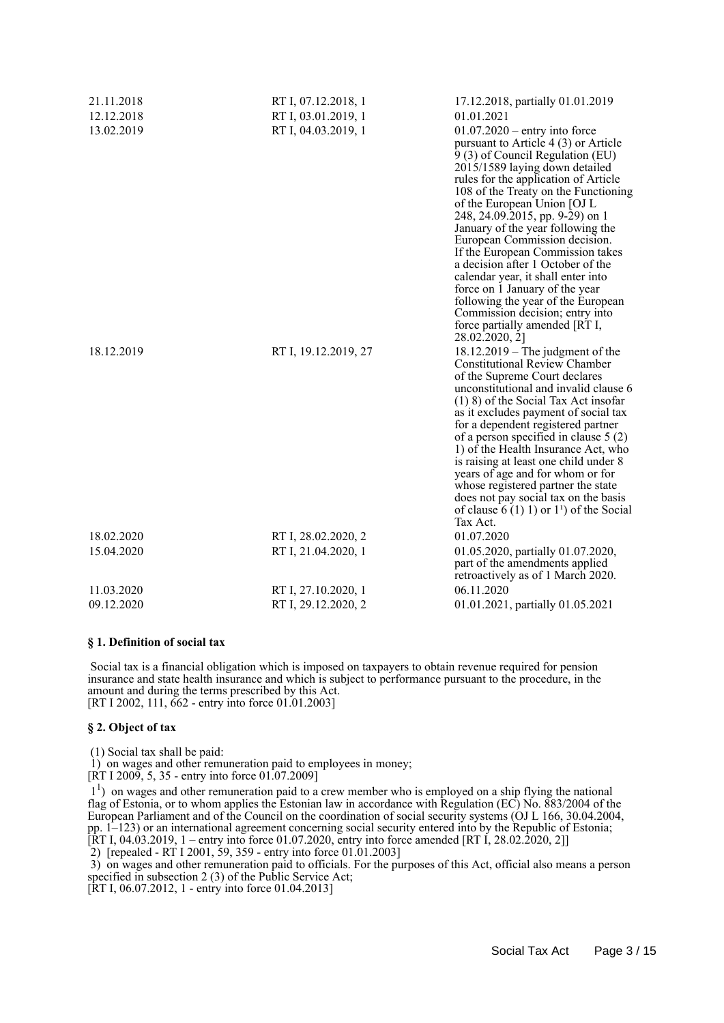| 21.11.2018 | RT I, 07.12.2018, 1  | 17.12.2018, partially 01.01.2019                                                                                                                                                                                                                                                                                                                                                                                                                                                                                                                                                                                                                    |
|------------|----------------------|-----------------------------------------------------------------------------------------------------------------------------------------------------------------------------------------------------------------------------------------------------------------------------------------------------------------------------------------------------------------------------------------------------------------------------------------------------------------------------------------------------------------------------------------------------------------------------------------------------------------------------------------------------|
| 12.12.2018 | RT I, 03.01.2019, 1  | 01.01.2021                                                                                                                                                                                                                                                                                                                                                                                                                                                                                                                                                                                                                                          |
| 13.02.2019 | RT I, 04.03.2019, 1  | $01.07.2020$ – entry into force<br>pursuant to Article 4 (3) or Article<br>9 (3) of Council Regulation (EU)<br>2015/1589 laying down detailed<br>rules for the application of Article<br>108 of the Treaty on the Functioning<br>of the European Union [OJ L<br>248, 24.09.2015, pp. 9-29) on 1<br>January of the year following the<br>European Commission decision.<br>If the European Commission takes<br>a decision after 1 October of the<br>calendar year, it shall enter into<br>force on 1 January of the year<br>following the year of the European<br>Commission decision; entry into<br>force partially amended [RT I,<br>28.02.2020, 2] |
| 18.12.2019 | RT I, 19.12.2019, 27 | $18.12.2019$ – The judgment of the<br><b>Constitutional Review Chamber</b><br>of the Supreme Court declares<br>unconstitutional and invalid clause 6<br>$(1)$ 8) of the Social Tax Act insofar<br>as it excludes payment of social tax<br>for a dependent registered partner<br>of a person specified in clause $5(2)$<br>1) of the Health Insurance Act, who<br>is raising at least one child under 8<br>years of age and for whom or for<br>whose registered partner the state<br>does not pay social tax on the basis<br>of clause $6(1) 1$ or $11$ of the Social<br>Tax Act.                                                                    |
| 18.02.2020 | RT I, 28.02.2020, 2  | 01.07.2020                                                                                                                                                                                                                                                                                                                                                                                                                                                                                                                                                                                                                                          |
| 15.04.2020 | RT I, 21.04.2020, 1  | 01.05.2020, partially 01.07.2020,<br>part of the amendments applied<br>retroactively as of 1 March 2020.                                                                                                                                                                                                                                                                                                                                                                                                                                                                                                                                            |
| 11.03.2020 | RT I, 27.10.2020, 1  | 06.11.2020                                                                                                                                                                                                                                                                                                                                                                                                                                                                                                                                                                                                                                          |
| 09.12.2020 | RT I, 29.12.2020, 2  | 01.01.2021, partially 01.05.2021                                                                                                                                                                                                                                                                                                                                                                                                                                                                                                                                                                                                                    |

#### **§ 1. Definition of social tax**

 Social tax is a financial obligation which is imposed on taxpayers to obtain revenue required for pension insurance and state health insurance and which is subject to performance pursuant to the procedure, in the amount and during the terms prescribed by this Act. [RT I 2002, 111, 662 - entry into force 01.01.2003]

#### **§ 2. Object of tax**

(1) Social tax shall be paid:

1) on wages and other remuneration paid to employees in money;

 $[RT I 2009, 5, 35$  - entry into force 01.07.2009]

 11 ) on wages and other remuneration paid to a crew member who is employed on a ship flying the national flag of Estonia, or to whom applies the Estonian law in accordance with Regulation (EC) No. 883/2004 of the European Parliament and of the Council on the coordination of social security systems (OJ L 166, 30.04.2004, pp. 1–123) or an international agreement concerning social security entered into by the Republic of Estonia; [RT I, 04.03.2019, 1 – entry into force 01.07.2020, entry into force amended [RT I, 28.02.2020, 2]]

2) [repealed - RT I 2001, 59, 359 - entry into force 01.01.2003]

 3) on wages and other remuneration paid to officials. For the purposes of this Act, official also means a person specified in subsection 2 (3) of the Public Service Act;

[RT I, 06.07.2012, 1 - entry into force 01.04.2013]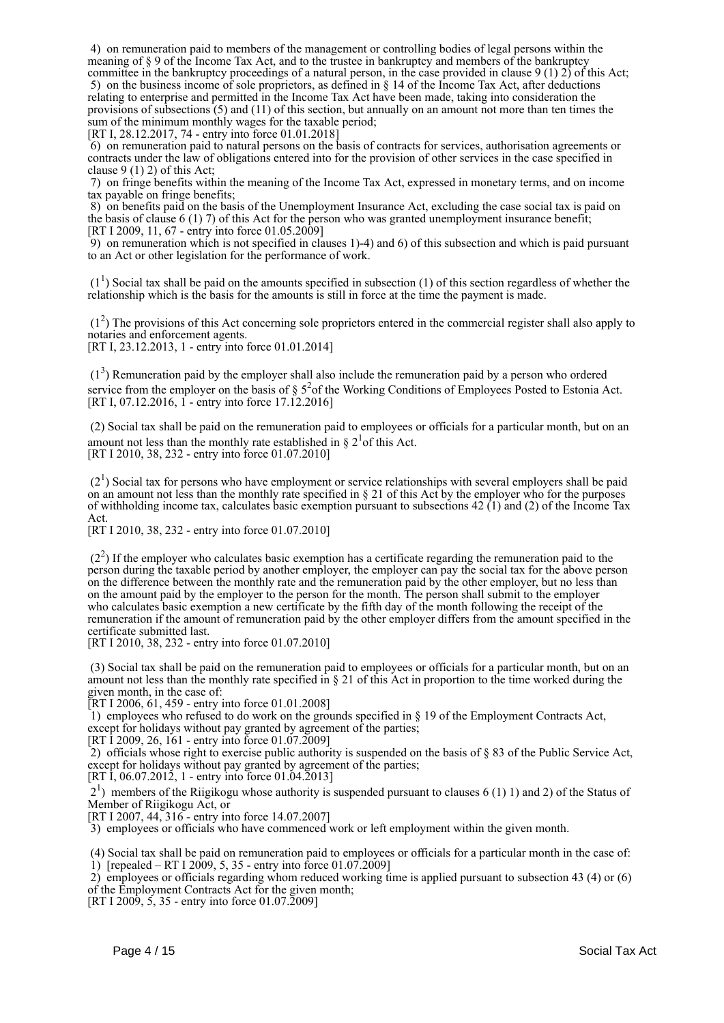4) on remuneration paid to members of the management or controlling bodies of legal persons within the meaning of § 9 of the Income Tax Act, and to the trustee in bankruptcy and members of the bankruptcy committee in the bankruptcy proceedings of a natural person, in the case provided in clause 9 (1) 2) of this Act;

 5) on the business income of sole proprietors, as defined in § 14 of the Income Tax Act, after deductions relating to enterprise and permitted in the Income Tax Act have been made, taking into consideration the provisions of subsections (5) and (11) of this section, but annually on an amount not more than ten times the sum of the minimum monthly wages for the taxable period;

[RT I, 28.12.2017, 74 - entry into force 01.01.2018]

 6) on remuneration paid to natural persons on the basis of contracts for services, authorisation agreements or contracts under the law of obligations entered into for the provision of other services in the case specified in clause 9 (1) 2) of this Act;

 7) on fringe benefits within the meaning of the Income Tax Act, expressed in monetary terms, and on income tax payable on fringe benefits;

 8) on benefits paid on the basis of the Unemployment Insurance Act, excluding the case social tax is paid on the basis of clause 6 (1) 7) of this Act for the person who was granted unemployment insurance benefit; [RT I 2009, 11, 67 - entry into force 01.05.2009]

 9) on remuneration which is not specified in clauses 1)-4) and 6) of this subsection and which is paid pursuant to an Act or other legislation for the performance of work.

 $(1<sup>1</sup>)$  Social tax shall be paid on the amounts specified in subsection (1) of this section regardless of whether the relationship which is the basis for the amounts is still in force at the time the payment is made.

 (1<sup>2</sup> ) The provisions of this Act concerning sole proprietors entered in the commercial register shall also apply to notaries and enforcement agents.

[RT I, 23.12.2013, 1 - entry into force 01.01.2014]

 $(1<sup>3</sup>)$  Remuneration paid by the employer shall also include the remuneration paid by a person who ordered service from the employer on the basis of  $\S$  5<sup>2</sup> of the Working Conditions of Employees Posted to Estonia Act. [RT I, 07.12.2016, 1 - entry into force 17.12.2016]

 (2) Social tax shall be paid on the remuneration paid to employees or officials for a particular month, but on an amount not less than the monthly rate established in  $\S 2<sup>1</sup>$  of this Act. [RT I 2010, 38, 232 - entry into force 01.07.2010]

 $(2<sup>1</sup>)$  Social tax for persons who have employment or service relationships with several employers shall be paid on an amount not less than the monthly rate specified in  $\S 21$  of this Act by the employer who for the purposes of withholding income tax, calculates basic exemption pursuant to subsections 42 (1) and (2) of the Income Tax Act.

[RT I 2010, 38, 232 - entry into force 01.07.2010]

 $(2<sup>2</sup>)$  If the employer who calculates basic exemption has a certificate regarding the remuneration paid to the person during the taxable period by another employer, the employer can pay the social tax for the above person on the difference between the monthly rate and the remuneration paid by the other employer, but no less than on the amount paid by the employer to the person for the month. The person shall submit to the employer who calculates basic exemption a new certificate by the fifth day of the month following the receipt of the remuneration if the amount of remuneration paid by the other employer differs from the amount specified in the certificate submitted last.

[RT I 2010, 38, 232 - entry into force 01.07.2010]

 (3) Social tax shall be paid on the remuneration paid to employees or officials for a particular month, but on an amount not less than the monthly rate specified in § 21 of this Act in proportion to the time worked during the given month, in the case of:

[RT I 2006, 61, 459 - entry into force 01.01.2008]

 1) employees who refused to do work on the grounds specified in § 19 of the Employment Contracts Act, except for holidays without pay granted by agreement of the parties;

[RT I 2009, 26, 161 - entry into force 01.07.2009]

 2) officials whose right to exercise public authority is suspended on the basis of § 83 of the Public Service Act, except for holidays without pay granted by agreement of the parties;

[RT I, 06.07.2012, 1 - entry into force 01.04.2013]

 21 ) members of the Riigikogu whose authority is suspended pursuant to clauses 6 (1) 1) and 2) of the Status of Member of Riigikogu Act, or

[RT I 2007, 44, 316 - entry into force 14.07.2007]

3) employees or officials who have commenced work or left employment within the given month.

 (4) Social tax shall be paid on remuneration paid to employees or officials for a particular month in the case of: 1) [repealed – RT I 2009, 5, 35 - entry into force  $01.07.2009$ ]

2) employees or officials regarding whom reduced working time is applied pursuant to subsection 43 (4) or (6)

of the Employment Contracts Act for the given month; [RT I 2009,  $5$ , 35 - entry into force 01.07.2009]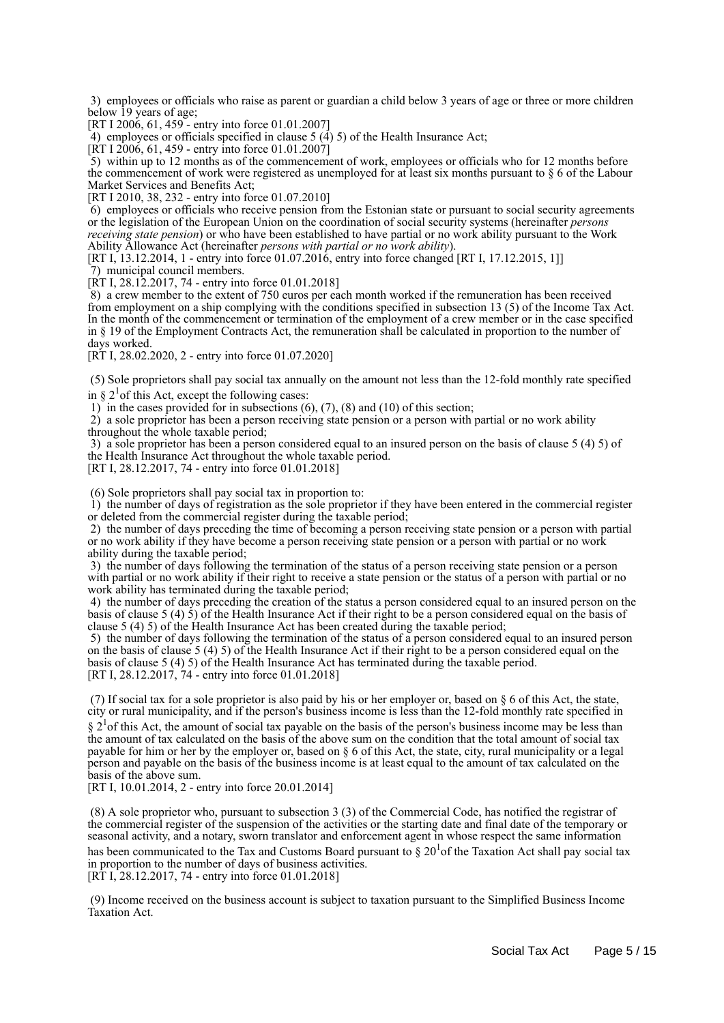3) employees or officials who raise as parent or guardian a child below 3 years of age or three or more children below 19 years of age;

[RT I 2006, 61, 459 - entry into force 01.01.2007]

4) employees or officials specified in clause  $5(4)5$  of the Health Insurance Act;

[RT I 2006, 61, 459 - entry into force 01.01.2007]

 5) within up to 12 months as of the commencement of work, employees or officials who for 12 months before the commencement of work were registered as unemployed for at least six months pursuant to § 6 of the Labour Market Services and Benefits Act;

[RT I 2010, 38, 232 - entry into force 01.07.2010]

 6) employees or officials who receive pension from the Estonian state or pursuant to social security agreements or the legislation of the European Union on the coordination of social security systems (hereinafter *persons receiving state pension*) or who have been established to have partial or no work ability pursuant to the Work Ability Allowance Act (hereinafter *persons with partial or no work ability*).

[RT I, 13.12.2014, 1 - entry into force 01.07.2016, entry into force changed [RT I, 17.12.2015, 1]]

7) municipal council members.

[RT I, 28.12.2017, 74 - entry into force 01.01.2018]

 8) a crew member to the extent of 750 euros per each month worked if the remuneration has been received from employment on a ship complying with the conditions specified in subsection 13 (5) of the Income Tax Act. In the month of the commencement or termination of the employment of a crew member or in the case specified in § 19 of the Employment Contracts Act, the remuneration shall be calculated in proportion to the number of days worked.

[RT I, 28.02.2020, 2 - entry into force 01.07.2020]

 (5) Sole proprietors shall pay social tax annually on the amount not less than the 12-fold monthly rate specified in  $\S 2<sup>1</sup>$  of this Act, except the following cases:

1) in the cases provided for in subsections  $(6)$ ,  $(7)$ ,  $(8)$  and  $(10)$  of this section;

 2) a sole proprietor has been a person receiving state pension or a person with partial or no work ability throughout the whole taxable period;

 3) a sole proprietor has been a person considered equal to an insured person on the basis of clause 5 (4) 5) of the Health Insurance Act throughout the whole taxable period.

[RT I, 28.12.2017, 74 - entry into force 01.01.2018]

(6) Sole proprietors shall pay social tax in proportion to:

 1) the number of days of registration as the sole proprietor if they have been entered in the commercial register or deleted from the commercial register during the taxable period;

 2) the number of days preceding the time of becoming a person receiving state pension or a person with partial or no work ability if they have become a person receiving state pension or a person with partial or no work ability during the taxable period;

 3) the number of days following the termination of the status of a person receiving state pension or a person with partial or no work ability if their right to receive a state pension or the status of a person with partial or no work ability has terminated during the taxable period;

 4) the number of days preceding the creation of the status a person considered equal to an insured person on the basis of clause 5 (4) 5) of the Health Insurance Act if their right to be a person considered equal on the basis of clause 5 (4) 5) of the Health Insurance Act has been created during the taxable period;

 5) the number of days following the termination of the status of a person considered equal to an insured person on the basis of clause 5 (4) 5) of the Health Insurance Act if their right to be a person considered equal on the basis of clause 5 (4) 5) of the Health Insurance Act has terminated during the taxable period. [RT I, 28.12.2017, 74 - entry into force 01.01.2018]

(7) If social tax for a sole proprietor is also paid by his or her employer or, based on  $\S 6$  of this Act, the state, city or rural municipality, and if the person's business income is less than the 12-fold monthly rate specified in

 $\S 2<sup>1</sup>$  of this Act, the amount of social tax payable on the basis of the person's business income may be less than the amount of tax calculated on the basis of the above sum on the condition that the total amount of social tax payable for him or her by the employer or, based on § 6 of this Act, the state, city, rural municipality or a legal person and payable on the basis of the business income is at least equal to the amount of tax calculated on the basis of the above sum.

[RT I, 10.01.2014, 2 - entry into force 20.01.2014]

 (8) A sole proprietor who, pursuant to subsection 3 (3) of the Commercial Code, has notified the registrar of the commercial register of the suspension of the activities or the starting date and final date of the temporary or seasonal activity, and a notary, sworn translator and enforcement agent in whose respect the same information has been communicated to the Tax and Customs Board pursuant to  $\S 20<sup>1</sup>$  of the Taxation Act shall pay social tax in proportion to the number of days of business activities.

[RT I, 28.12.2017, 74 - entry into force 01.01.2018]

 (9) Income received on the business account is subject to taxation pursuant to the Simplified Business Income Taxation Act.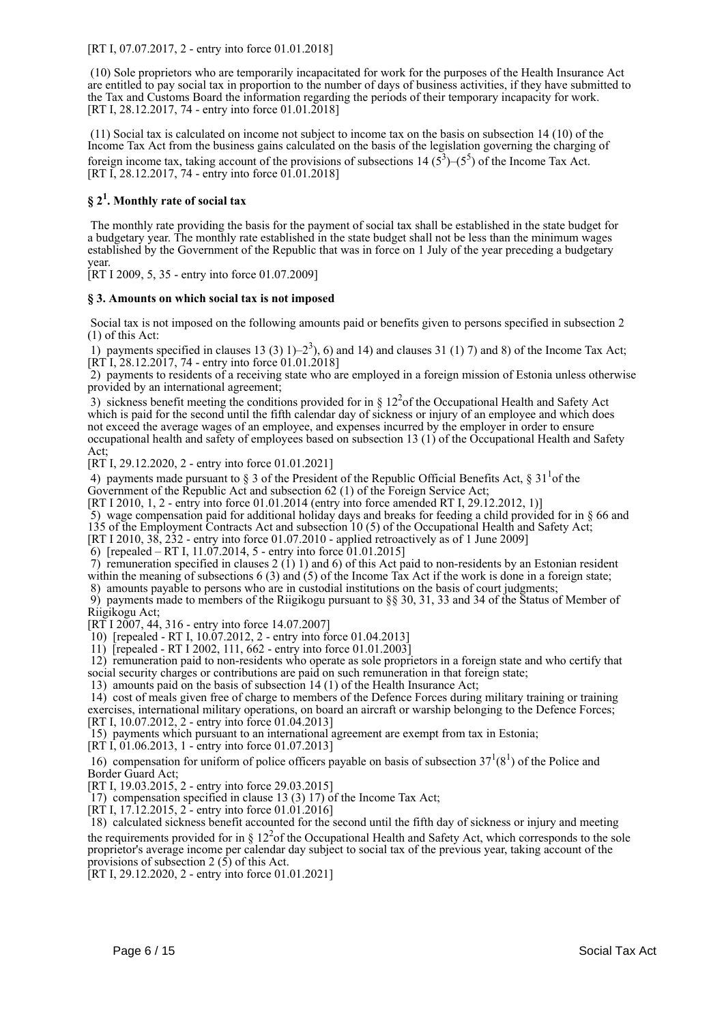[RT I, 07.07.2017, 2 - entry into force 01.01.2018]

 (10) Sole proprietors who are temporarily incapacitated for work for the purposes of the Health Insurance Act are entitled to pay social tax in proportion to the number of days of business activities, if they have submitted to the Tax and Customs Board the information regarding the periods of their temporary incapacity for work. [RT I, 28.12.2017, 74 - entry into force 01.01.2018]

 (11) Social tax is calculated on income not subject to income tax on the basis on subsection 14 (10) of the Income Tax Act from the business gains calculated on the basis of the legislation governing the charging of foreign income tax, taking account of the provisions of subsections  $14(5^3)$ – $(5^5)$  of the Income Tax Act. [RT I, 28.12.2017, 74 - entry into force 01.01.2018]

# **§ 2<sup>1</sup> . Monthly rate of social tax**

 The monthly rate providing the basis for the payment of social tax shall be established in the state budget for a budgetary year. The monthly rate established in the state budget shall not be less than the minimum wages established by the Government of the Republic that was in force on 1 July of the year preceding a budgetary year.

[RT I 2009, 5, 35 - entry into force 01.07.2009]

#### **§ 3. Amounts on which social tax is not imposed**

 Social tax is not imposed on the following amounts paid or benefits given to persons specified in subsection 2 (1) of this Act:

1) payments specified in clauses 13 (3) 1)–2<sup>3</sup>), 6) and 14) and clauses 31 (1) 7) and 8) of the Income Tax Act;  $[\overline{RT}I, \overline{28.12.20}I7, \overline{74}$  - entry into force  $01.01.2018]$ 

 2) payments to residents of a receiving state who are employed in a foreign mission of Estonia unless otherwise provided by an international agreement;

3) sickness benefit meeting the conditions provided for in  $\S 12<sup>2</sup>$  of the Occupational Health and Safety Act which is paid for the second until the fifth calendar day of sickness or injury of an employee and which does not exceed the average wages of an employee, and expenses incurred by the employer in order to ensure occupational health and safety of employees based on subsection 13 (1) of the Occupational Health and Safety Act;

[RT I, 29.12.2020, 2 - entry into force 01.01.2021]

4) payments made pursuant to  $\S 3$  of the President of the Republic Official Benefits Act,  $\S 31<sup>1</sup>$ of the Government of the Republic Act and subsection 62 (1) of the Foreign Service Act;

[RT I 2010, 1, 2 - entry into force 01.01.2014 (entry into force amended RT I, 29.12.2012, 1)]

5) wage compensation paid for additional holiday days and breaks for feeding a child provided for in § 66 and

135 of the Employment Contracts Act and subsection 10 (5) of the Occupational Health and Safety Act;

[RT I 2010, 38, 232 - entry into force 01.07.2010 - applied retroactively as of 1 June 2009]

6) [repealed – RT I, 11.07.2014, 5 - entry into force 01.01.2015]

7) remuneration specified in clauses  $2(1)$  1) and 6) of this Act paid to non-residents by an Estonian resident within the meaning of subsections 6 (3) and (5) of the Income Tax Act if the work is done in a foreign state; 8) amounts payable to persons who are in custodial institutions on the basis of court judgments;

 9) payments made to members of the Riigikogu pursuant to §§ 30, 31, 33 and 34 of the Status of Member of Riigikogu Act;

[RT I 2007, 44, 316 - entry into force 14.07.2007]

10) [repealed - RT I, 10.07.2012, 2 - entry into force 01.04.2013]

11) [repealed - RT I 2002, 111, 662 - entry into force 01.01.2003]

 12) remuneration paid to non-residents who operate as sole proprietors in a foreign state and who certify that social security charges or contributions are paid on such remuneration in that foreign state;

13) amounts paid on the basis of subsection 14 (1) of the Health Insurance Act;

 14) cost of meals given free of charge to members of the Defence Forces during military training or training exercises, international military operations, on board an aircraft or warship belonging to the Defence Forces; [RT I, 10.07.2012, 2 - entry into force 01.04.2013]

15) payments which pursuant to an international agreement are exempt from tax in Estonia;

[RT I, 01.06.2013, 1 - entry into force 01.07.2013]

16) compensation for uniform of police officers payable on basis of subsection  $37<sup>1</sup>(8<sup>1</sup>)$  of the Police and Border Guard Act;

[RT I, 19.03.2015, 2 - entry into force 29.03.2015]

17) compensation specified in clause 13 (3) 17) of the Income Tax Act;

[RT I, 17.12.2015, 2 - entry into force 01.01.2016]

 18) calculated sickness benefit accounted for the second until the fifth day of sickness or injury and meeting the requirements provided for in  $\S 12<sup>2</sup>$  of the Occupational Health and Safety Act, which corresponds to the sole proprietor's average income per calendar day subject to social tax of the previous year, taking account of the provisions of subsection  $2(5)$  of this Act.

[RT I, 29.12.2020, 2 - entry into force 01.01.2021]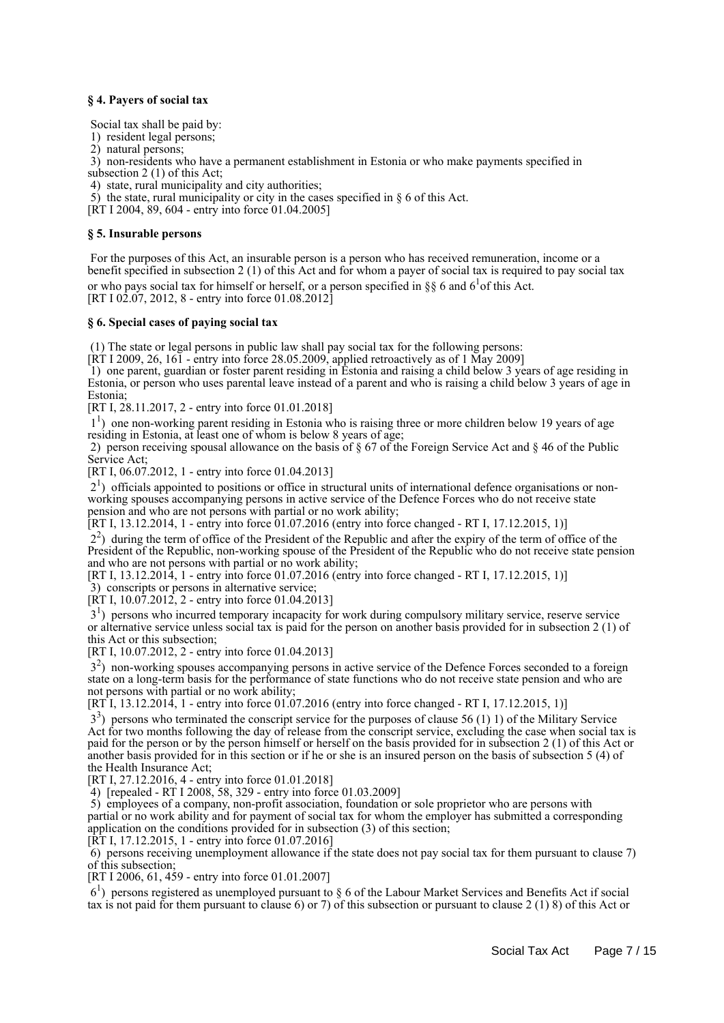#### **§ 4. Payers of social tax**

Social tax shall be paid by:

- 1) resident legal persons;
- 2) natural persons;

3) non-residents who have a permanent establishment in Estonia or who make payments specified in

subsection 2 (1) of this Act;

4) state, rural municipality and city authorities;

5) the state, rural municipality or city in the cases specified in § 6 of this Act.

[RT I 2004, 89, 604 - entry into force 01.04.2005]

#### **§ 5. Insurable persons**

 For the purposes of this Act, an insurable person is a person who has received remuneration, income or a benefit specified in subsection 2 (1) of this Act and for whom a payer of social tax is required to pay social tax or who pays social tax for himself or herself, or a person specified in  $\S$  6 and 6<sup>1</sup> of this Act.  $[RT I 02.07, 2012, 8 - entry into force 01.08.2012]$ 

#### **§ 6. Special cases of paying social tax**

(1) The state or legal persons in public law shall pay social tax for the following persons:

[RT I 2009, 26, 161 - entry into force 28.05.2009, applied retroactively as of 1 May 2009]

 1) one parent, guardian or foster parent residing in Estonia and raising a child below 3 years of age residing in Estonia, or person who uses parental leave instead of a parent and who is raising a child below 3 years of age in Estonia;

[RT I, 28.11.2017, 2 - entry into force 01.01.2018]

<sup>1</sup>) one non-working parent residing in Estonia who is raising three or more children below 19 years of age residing in Estonia, at least one of whom is below 8 years of age;

 2) person receiving spousal allowance on the basis of § 67 of the Foreign Service Act and § 46 of the Public Service Act;

[RT I, 06.07.2012, 1 - entry into force 01.04.2013]

 21 ) officials appointed to positions or office in structural units of international defence organisations or nonworking spouses accompanying persons in active service of the Defence Forces who do not receive state pension and who are not persons with partial or no work ability;

[RT I, 13.12.2014, 1 - entry into force 01.07.2016 (entry into force changed - RT I, 17.12.2015, 1)]

 22 ) during the term of office of the President of the Republic and after the expiry of the term of office of the President of the Republic, non-working spouse of the President of the Republic who do not receive state pension and who are not persons with partial or no work ability;

[RT I, 13.12.2014, 1 - entry into force 01.07.2016 (entry into force changed - RT I, 17.12.2015, 1)]

3) conscripts or persons in alternative service;

[RT I,  $10.07.2012$ , 2 - entry into force 01.04.2013]

3<sup>1</sup>) persons who incurred temporary incapacity for work during compulsory military service, reserve service or alternative service unless social tax is paid for the person on another basis provided for in subsection 2 (1) of this Act or this subsection;

[RT I, 10.07.2012, 2 - entry into force 01.04.2013]

 32 ) non-working spouses accompanying persons in active service of the Defence Forces seconded to a foreign state on a long-term basis for the performance of state functions who do not receive state pension and who are not persons with partial or no work ability;

 $[RT\overline{1}, 13.12.201\overline{4}, 1$  - entry into force 01.07.2016 (entry into force changed - RT I, 17.12.2015, 1)]

 33 ) persons who terminated the conscript service for the purposes of clause 56 (1) 1) of the Military Service Act for two months following the day of release from the conscript service, excluding the case when social tax is paid for the person or by the person himself or herself on the basis provided for in subsection 2 (1) of this Act or another basis provided for in this section or if he or she is an insured person on the basis of subsection 5 (4) of the Health Insurance Act;

[RT I, 27.12.2016, 4 - entry into force 01.01.2018]

4) [repealed - RT I 2008, 58, 329 - entry into force 01.03.2009]

 5) employees of a company, non-profit association, foundation or sole proprietor who are persons with partial or no work ability and for payment of social tax for whom the employer has submitted a corresponding application on the conditions provided for in subsection (3) of this section;

[RT I, 17.12.2015, 1 - entry into force 01.07.2016]

 $\overline{6}$ ) persons receiving unemployment allowance if the state does not pay social tax for them pursuant to clause 7) of this subsection;

[RT I 2006, 61, 459 - entry into force 01.01.2007]

 61 ) persons registered as unemployed pursuant to § 6 of the Labour Market Services and Benefits Act if social tax is not paid for them pursuant to clause 6) or 7) of this subsection or pursuant to clause 2 (1) 8) of this Act or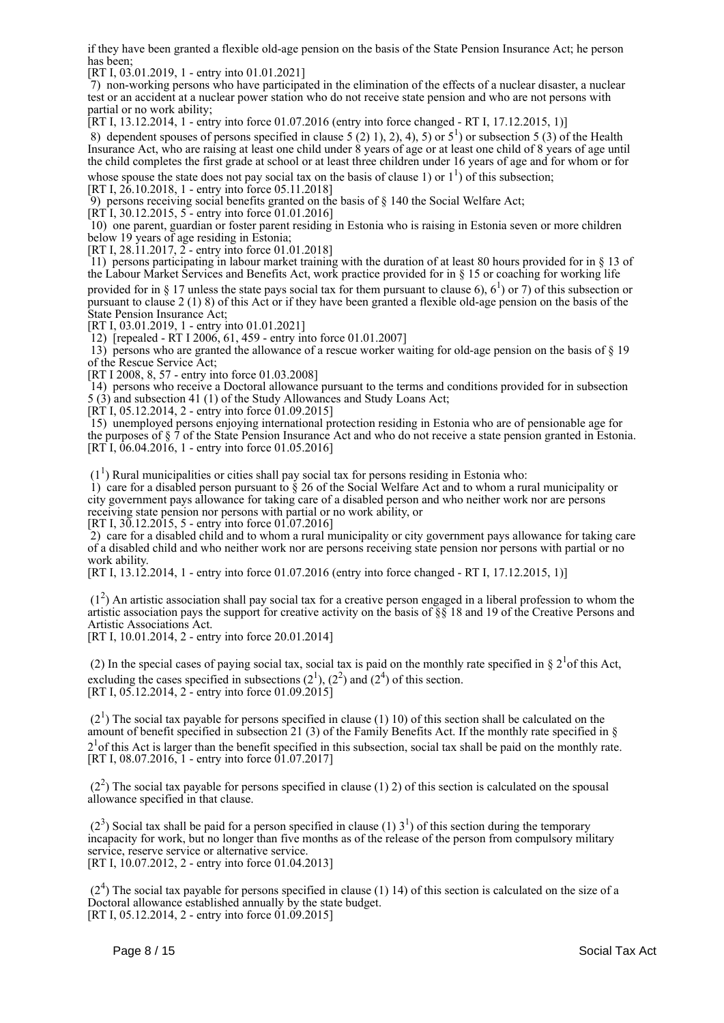if they have been granted a flexible old-age pension on the basis of the State Pension Insurance Act; he person has been;

[RT I, 03.01.2019, 1 - entry into 01.01.2021]

 7) non-working persons who have participated in the elimination of the effects of a nuclear disaster, a nuclear test or an accident at a nuclear power station who do not receive state pension and who are not persons with partial or no work ability;

[RT I, 13.12.2014, 1 - entry into force 01.07.2016 (entry into force changed - RT I, 17.12.2015, 1)]

8) dependent spouses of persons specified in clause  $5(2)$  1), 2), 4), 5) or  $5^1$ ) or subsection 5 (3) of the Health Insurance Act, who are raising at least one child under 8 years of age or at least one child of 8 years of age until the child completes the first grade at school or at least three children under 16 years of age and for whom or for

whose spouse the state does not pay social tax on the basis of clause 1) or  $1^1$ ) of this subsection; [RT I, 26.10.2018, 1 - entry into force 05.11.2018]

9) persons receiving social benefits granted on the basis of  $\S$  140 the Social Welfare Act;

[RT I, 30.12.2015, 5 - entry into force 01.01.2016]

 10) one parent, guardian or foster parent residing in Estonia who is raising in Estonia seven or more children below 19 years of age residing in Estonia;

[RT I, 28.11.2017,  $\Sigma$  - entry into force 01.01.2018]

 11) persons participating in labour market training with the duration of at least 80 hours provided for in § 13 of the Labour Market Services and Benefits Act, work practice provided for in § 15 or coaching for working life provided for in § 17 unless the state pays social tax for them pursuant to clause 6),  $6^1$ ) or 7) of this subsection or pursuant to clause 2 (1) 8) of this Act or if they have been granted a flexible old-age pension on the basis of the State Pension Insurance Act;

[RT I, 03.01.2019, 1 - entry into 01.01.2021]

12) [repealed - RT I 2006, 61, 459 - entry into force 01.01.2007]

 13) persons who are granted the allowance of a rescue worker waiting for old-age pension on the basis of § 19 of the Rescue Service Act;

[RT I 2008, 8, 57 - entry into force 01.03.2008]

 14) persons who receive a Doctoral allowance pursuant to the terms and conditions provided for in subsection 5 (3) and subsection 41 (1) of the Study Allowances and Study Loans Act;

 $[RT1, 05.12.2014, 2 - entry into force 01.09.2015]$ 

 15) unemployed persons enjoying international protection residing in Estonia who are of pensionable age for the purposes of § 7 of the State Pension Insurance Act and who do not receive a state pension granted in Estonia. [RT I, 06.04.2016, 1 - entry into force 01.05.2016]

 $(1<sup>1</sup>)$  Rural municipalities or cities shall pay social tax for persons residing in Estonia who:

 1) care for a disabled person pursuant to § 26 of the Social Welfare Act and to whom a rural municipality or city government pays allowance for taking care of a disabled person and who neither work nor are persons receiving state pension nor persons with partial or no work ability, or [RT I, 30.12.2015, 5 - entry into force 01.07.2016]

 2) care for a disabled child and to whom a rural municipality or city government pays allowance for taking care of a disabled child and who neither work nor are persons receiving state pension nor persons with partial or no work ability.

[RT I, 13.12.2014, 1 - entry into force 01.07.2016 (entry into force changed - RT I, 17.12.2015, 1)]

 $(1<sup>2</sup>)$  An artistic association shall pay social tax for a creative person engaged in a liberal profession to whom the artistic association pays the support for creative activity on the basis of §§ 18 and 19 of the Creative Persons and Artistic Associations Act.

[RT I, 10.01.2014, 2 - entry into force 20.01.2014]

(2) In the special cases of paying social tax, social tax is paid on the monthly rate specified in  $\S 2<sup>1</sup>$  of this Act, excluding the cases specified in subsections  $(2^1)$ ,  $(2^2)$  and  $(2^4)$  of this section. [RT I,  $05.12.2014$ ,  $2 \div$  entry into force  $01.09.2015$ ]

 $(2<sup>1</sup>)$  The social tax payable for persons specified in clause (1) 10) of this section shall be calculated on the amount of benefit specified in subsection 21 (3) of the Family Benefits Act. If the monthly rate specified in §  $2<sup>1</sup>$  of this Act is larger than the benefit specified in this subsection, social tax shall be paid on the monthly rate. [RT I,  $08.07.2016$ , 1 - entry into force  $01.07.2017$ ]

 $(2<sup>2</sup>)$  The social tax payable for persons specified in clause (1) 2) of this section is calculated on the spousal allowance specified in that clause.

 $(2<sup>3</sup>)$  Social tax shall be paid for a person specified in clause (1) 3<sup>1</sup>) of this section during the temporary incapacity for work, but no longer than five months as of the release of the person from compulsory military service, reserve service or alternative service. [RT I, 10.07.2012, 2 - entry into force 01.04.2013]

 $(2<sup>4</sup>)$  The social tax payable for persons specified in clause (1) 14) of this section is calculated on the size of a Doctoral allowance established annually by the state budget. [RT I, 05.12.2014, 2 - entry into force  $01.09.2015$ ]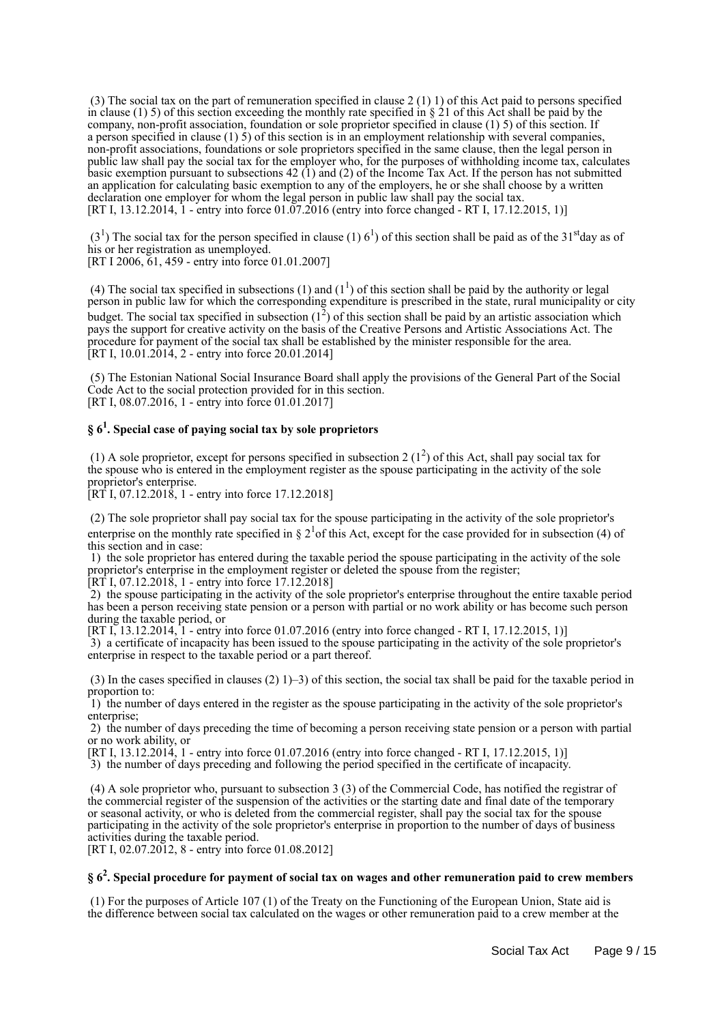(3) The social tax on the part of remuneration specified in clause 2 (1) 1) of this Act paid to persons specified in clause (1) 5) of this section exceeding the monthly rate specified in  $\S 21$  of this Act shall be paid by the company, non-profit association, foundation or sole proprietor specified in clause (1) 5) of this section. If a person specified in clause (1) 5) of this section is in an employment relationship with several companies, non-profit associations, foundations or sole proprietors specified in the same clause, then the legal person in public law shall pay the social tax for the employer who, for the purposes of withholding income tax, calculates basic exemption pursuant to subsections 42 (1) and (2) of the Income Tax Act. If the person has not submitted an application for calculating basic exemption to any of the employers, he or she shall choose by a written declaration one employer for whom the legal person in public law shall pay the social tax. [RT I, 13.12.2014, 1 - entry into force 01.07.2016 (entry into force changed - RT I, 17.12.2015, 1)]

 $(3<sup>1</sup>)$  The social tax for the person specified in clause (1) 6<sup>1</sup>) of this section shall be paid as of the 31<sup>st</sup>day as of his or her registration as unemployed.

[RT I 2006, 61, 459 - entry into force 01.01.2007]

(4) The social tax specified in subsections (1) and ( $1<sup>1</sup>$ ) of this section shall be paid by the authority or legal person in public law for which the corresponding expenditure is prescribed in the state, rural municipality or city budget. The social tax specified in subsection  $(1^2)$  of this section shall be paid by an artistic association which pays the support for creative activity on the basis of the Creative Persons and Artistic Associations Act. The procedure for payment of the social tax shall be established by the minister responsible for the area. [RT I, 10.01.2014, 2 - entry into force 20.01.2014]

 (5) The Estonian National Social Insurance Board shall apply the provisions of the General Part of the Social Code Act to the social protection provided for in this section. [RT I, 08.07.2016, 1 - entry into force 01.01.2017]

# **§ 6<sup>1</sup> . Special case of paying social tax by sole proprietors**

(1) A sole proprietor, except for persons specified in subsection 2  $(1^2)$  of this Act, shall pay social tax for the spouse who is entered in the employment register as the spouse participating in the activity of the sole proprietor's enterprise.

[RT I, 07.12.2018, 1 - entry into force 17.12.2018]

 (2) The sole proprietor shall pay social tax for the spouse participating in the activity of the sole proprietor's enterprise on the monthly rate specified in  $\S 2<sup>1</sup>$  of this Act, except for the case provided for in subsection (4) of this section and in case:

 1) the sole proprietor has entered during the taxable period the spouse participating in the activity of the sole proprietor's enterprise in the employment register or deleted the spouse from the register;

[RT I, 07.12.2018, 1 - entry into force 17.12.2018]

 2) the spouse participating in the activity of the sole proprietor's enterprise throughout the entire taxable period has been a person receiving state pension or a person with partial or no work ability or has become such person during the taxable period, or

[RT I, 13.12.2014, 1 - entry into force 01.07.2016 (entry into force changed - RT I, 17.12.2015, 1)] 3) a certificate of incapacity has been issued to the spouse participating in the activity of the sole proprietor's enterprise in respect to the taxable period or a part thereof.

(3) In the cases specified in clauses (2) 1)–3) of this section, the social tax shall be paid for the taxable period in proportion to:

 1) the number of days entered in the register as the spouse participating in the activity of the sole proprietor's enterprise:

 2) the number of days preceding the time of becoming a person receiving state pension or a person with partial or no work ability, or

[RT I, 13.12.2014, 1 - entry into force 01.07.2016 (entry into force changed - RT I, 17.12.2015, 1)]

3) the number of days preceding and following the period specified in the certificate of incapacity.

 (4) A sole proprietor who, pursuant to subsection 3 (3) of the Commercial Code, has notified the registrar of the commercial register of the suspension of the activities or the starting date and final date of the temporary or seasonal activity, or who is deleted from the commercial register, shall pay the social tax for the spouse participating in the activity of the sole proprietor's enterprise in proportion to the number of days of business activities during the taxable period.

[RT I, 02.07.2012, 8 - entry into force 01.08.2012]

# **§ 6<sup>2</sup> . Special procedure for payment of social tax on wages and other remuneration paid to crew members**

 (1) For the purposes of Article 107 (1) of the Treaty on the Functioning of the European Union, State aid is the difference between social tax calculated on the wages or other remuneration paid to a crew member at the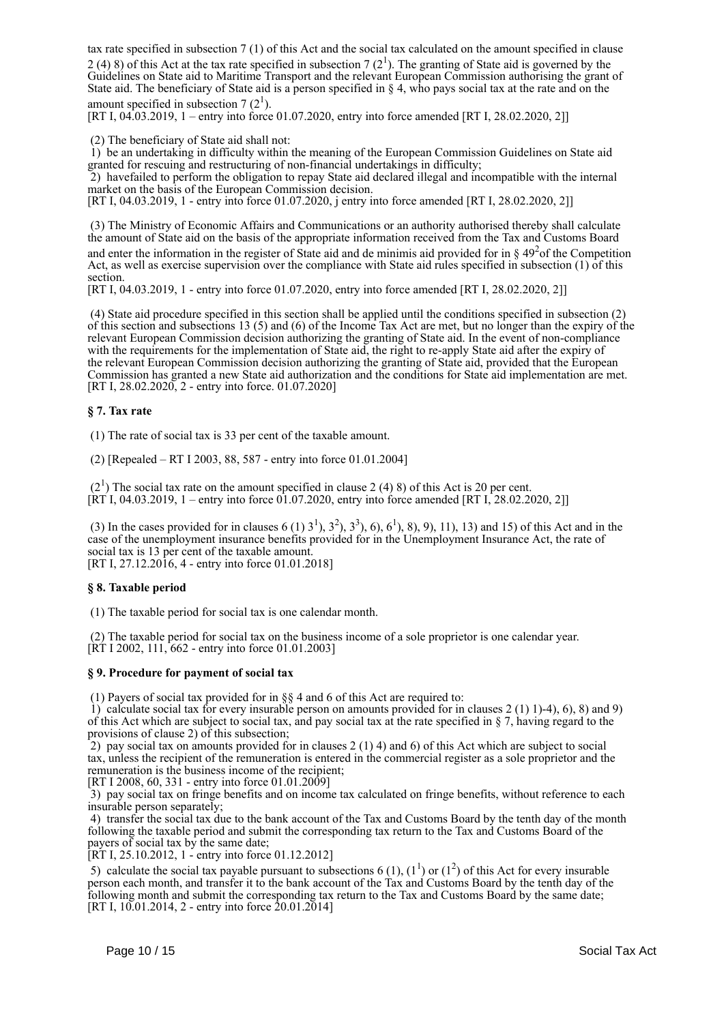tax rate specified in subsection 7 (1) of this Act and the social tax calculated on the amount specified in clause 2 (4) 8) of this Act at the tax rate specified in subsection 7  $(2^1)$ . The granting of State aid is governed by the Guidelines on State aid to Maritime Transport and the relevant European Commission authorising the grant of State aid. The beneficiary of State aid is a person specified in § 4, who pays social tax at the rate and on the amount specified in subsection 7  $(2^1)$ .

[RT I, 04.03.2019, 1 – entry into force 01.07.2020, entry into force amended [RT I, 28.02.2020, 2]]

(2) The beneficiary of State aid shall not:

 1) be an undertaking in difficulty within the meaning of the European Commission Guidelines on State aid granted for rescuing and restructuring of non-financial undertakings in difficulty;

 2) havefailed to perform the obligation to repay State aid declared illegal and incompatible with the internal market on the basis of the European Commission decision.

[RT I, 04.03.2019, 1 - entry into force 01.07.2020, j entry into force amended [RT I, 28.02.2020, 2]]

 (3) The Ministry of Economic Affairs and Communications or an authority authorised thereby shall calculate the amount of State aid on the basis of the appropriate information received from the Tax and Customs Board and enter the information in the register of State aid and de minimis aid provided for in  $\S 49<sup>2</sup>$  of the Competition Act, as well as exercise supervision over the compliance with State aid rules specified in subsection (1) of this section.

[RT I, 04.03.2019, 1 - entry into force 01.07.2020, entry into force amended [RT I, 28.02.2020, 2]]

 (4) State aid procedure specified in this section shall be applied until the conditions specified in subsection (2) of this section and subsections 13 (5) and (6) of the Income Tax Act are met, but no longer than the expiry of the relevant European Commission decision authorizing the granting of State aid. In the event of non-compliance with the requirements for the implementation of State aid, the right to re-apply State aid after the expiry of the relevant European Commission decision authorizing the granting of State aid, provided that the European Commission has granted a new State aid authorization and the conditions for State aid implementation are met. [RT I, 28.02.2020, 2 - entry into force. 01.07.2020]

#### **§ 7. Tax rate**

(1) The rate of social tax is 33 per cent of the taxable amount.

(2) [Repealed – RT I 2003, 88, 587 - entry into force 01.01.2004]

 $(2<sup>1</sup>)$  The social tax rate on the amount specified in clause 2 (4) 8) of this Act is 20 per cent.  $[\overline{RT}1, 04.03.2019, 1 -$  entry into force 01.07.2020, entry into force amended [RT I, 28.02.2020, 2]]

(3) In the cases provided for in clauses 6 (1)  $3^1$ ,  $3^2$ ,  $3^3$ , 6,  $6^1$ , 8, 9, 9, 11, 13) and 15) of this Act and in the case of the unemployment insurance benefits provided for in the Unemployment Insurance Act, the rate of social tax is 13 per cent of the taxable amount. [RT I, 27.12.2016, 4 - entry into force 01.01.2018]

#### **§ 8. Taxable period**

(1) The taxable period for social tax is one calendar month.

 (2) The taxable period for social tax on the business income of a sole proprietor is one calendar year.  $[\hat{R} \hat{T}]$  I 2002, 111, 662 - entry into force 01.01.2003]

#### **§ 9. Procedure for payment of social tax**

(1) Payers of social tax provided for in §§ 4 and 6 of this Act are required to:

1) calculate social tax for every insurable person on amounts provided for in clauses 2 (1) 1)-4), 6), 8) and 9) of this Act which are subject to social tax, and pay social tax at the rate specified in  $\S$  7, having regard to the provisions of clause 2) of this subsection;

2) pay social tax on amounts provided for in clauses  $2(1)$  4) and 6) of this Act which are subject to social tax, unless the recipient of the remuneration is entered in the commercial register as a sole proprietor and the remuneration is the business income of the recipient;

[RT I 2008, 60, 331 - entry into force 01.01.2009]

 3) pay social tax on fringe benefits and on income tax calculated on fringe benefits, without reference to each insurable person separately;

 4) transfer the social tax due to the bank account of the Tax and Customs Board by the tenth day of the month following the taxable period and submit the corresponding tax return to the Tax and Customs Board of the payers of social tax by the same date;

[RT I, 25.10.2012, 1 - entry into force 01.12.2012]

5) calculate the social tax payable pursuant to subsections 6 (1),  $(1^1)$  or  $(1^2)$  of this Act for every insurable person each month, and transfer it to the bank account of the Tax and Customs Board by the tenth day of the following month and submit the corresponding tax return to the Tax and Customs Board by the same date; [RT I, 10.01.2014, 2 - entry into force 20.01.2014]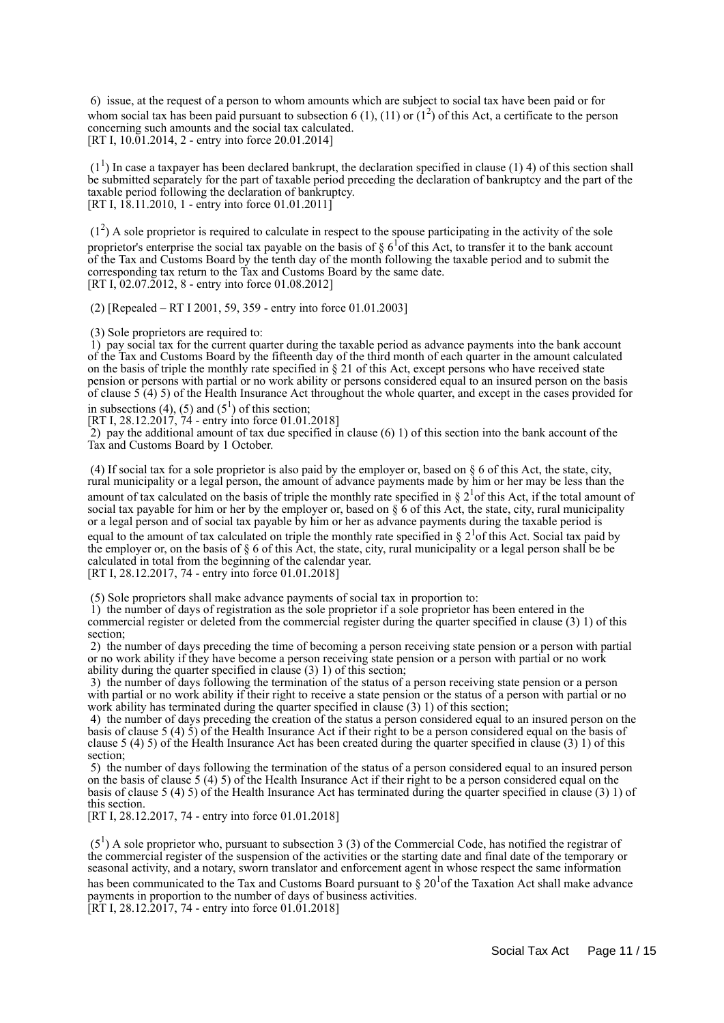6) issue, at the request of a person to whom amounts which are subject to social tax have been paid or for whom social tax has been paid pursuant to subsection 6 (1), (11) or ( $1^2$ ) of this Act, a certificate to the person concerning such amounts and the social tax calculated. [RT I,  $10.01.2014$ , 2 - entry into force 20.01.2014]

 $(1<sup>1</sup>)$  In case a taxpayer has been declared bankrupt, the declaration specified in clause (1) 4) of this section shall be submitted separately for the part of taxable period preceding the declaration of bankruptcy and the part of the taxable period following the declaration of bankruptcy. [RT I, 18.11.2010, 1 - entry into force 01.01.2011]

 $(1<sup>2</sup>)$  A sole proprietor is required to calculate in respect to the spouse participating in the activity of the sole proprietor's enterprise the social tax payable on the basis of  $\S 6^1$ of this Act, to transfer it to the bank account of the Tax and Customs Board by the tenth day of the month following the taxable period and to submit the corresponding tax return to the Tax and Customs Board by the same date. [RT I, 02.07.2012, 8 - entry into force 01.08.2012]

(2) [Repealed – RT I 2001, 59, 359 - entry into force 01.01.2003]

(3) Sole proprietors are required to:

 1) pay social tax for the current quarter during the taxable period as advance payments into the bank account of the Tax and Customs Board by the fifteenth day of the third month of each quarter in the amount calculated on the basis of triple the monthly rate specified in  $\S 21$  of this Act, except persons who have received state pension or persons with partial or no work ability or persons considered equal to an insured person on the basis of clause 5 (4) 5) of the Health Insurance Act throughout the whole quarter, and except in the cases provided for

in subsections (4), (5) and ( $5<sup>1</sup>$ ) of this section;

[RT I, 28.12.2017, 74 - entry into force 01.01.2018]

2) pay the additional amount of tax due specified in clause  $(6)$  1) of this section into the bank account of the Tax and Customs Board by 1 October.

 (4) If social tax for a sole proprietor is also paid by the employer or, based on § 6 of this Act, the state, city, rural municipality or a legal person, the amount of advance payments made by him or her may be less than the amount of tax calculated on the basis of triple the monthly rate specified in  $\S 2<sup>1</sup>$  of this Act, if the total amount of social tax payable for him or her by the employer or, based on  $\S$  6 of this Act, the state, city, rural municipality or a legal person and of social tax payable by him or her as advance payments during the taxable period is equal to the amount of tax calculated on triple the monthly rate specified in  $\S 2<sup>1</sup>$ of this Act. Social tax paid by the employer or, on the basis of § 6 of this Act, the state, city, rural municipality or a legal person shall be be calculated in total from the beginning of the calendar year. [RT I, 28.12.2017, 74 - entry into force 01.01.2018]

(5) Sole proprietors shall make advance payments of social tax in proportion to:

 1) the number of days of registration as the sole proprietor if a sole proprietor has been entered in the commercial register or deleted from the commercial register during the quarter specified in clause (3) 1) of this section;

 2) the number of days preceding the time of becoming a person receiving state pension or a person with partial or no work ability if they have become a person receiving state pension or a person with partial or no work ability during the quarter specified in clause (3) 1) of this section;

 3) the number of days following the termination of the status of a person receiving state pension or a person with partial or no work ability if their right to receive a state pension or the status of a person with partial or no work ability has terminated during the quarter specified in clause  $(3)$  1) of this section;

 4) the number of days preceding the creation of the status a person considered equal to an insured person on the basis of clause 5 (4) 5) of the Health Insurance Act if their right to be a person considered equal on the basis of clause 5 (4) 5) of the Health Insurance Act has been created during the quarter specified in clause (3) 1) of this section;

 5) the number of days following the termination of the status of a person considered equal to an insured person on the basis of clause 5 (4) 5) of the Health Insurance Act if their right to be a person considered equal on the basis of clause 5 (4) 5) of the Health Insurance Act has terminated during the quarter specified in clause (3) 1) of this section.

[RT I, 28.12.2017, 74 - entry into force 01.01.2018]

 $(5<sup>1</sup>)$  A sole proprietor who, pursuant to subsection 3 (3) of the Commercial Code, has notified the registrar of the commercial register of the suspension of the activities or the starting date and final date of the temporary or seasonal activity, and a notary, sworn translator and enforcement agent in whose respect the same information

has been communicated to the Tax and Customs Board pursuant to  $\S 20<sup>1</sup>$ of the Taxation Act shall make advance payments in proportion to the number of days of business activities.

 $[RT I, 28.12.2017, 74 - entry into force 01.01.2018]$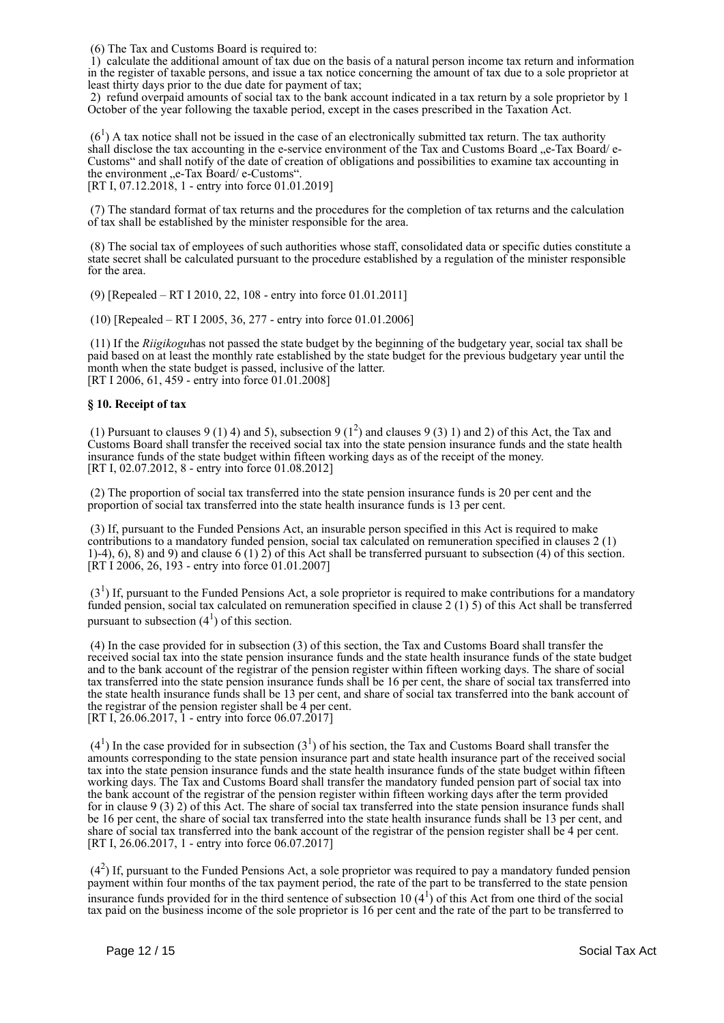(6) The Tax and Customs Board is required to:

 $\hat{1}$ ) calculate the additional amount of tax due on the basis of a natural person income tax return and information in the register of taxable persons, and issue a tax notice concerning the amount of tax due to a sole proprietor at least thirty days prior to the due date for payment of tax;

 2) refund overpaid amounts of social tax to the bank account indicated in a tax return by a sole proprietor by 1 October of the year following the taxable period, except in the cases prescribed in the Taxation Act.

 $(6<sup>1</sup>)$  A tax notice shall not be issued in the case of an electronically submitted tax return. The tax authority shall disclose the tax accounting in the e-service environment of the Tax and Customs Board "e-Tax Board/ e-Customs" and shall notify of the date of creation of obligations and possibilities to examine tax accounting in the environment "e-Tax Board/ e-Customs".

[RT I, 07.12.2018, 1 - entry into force 01.01.2019]

 (7) The standard format of tax returns and the procedures for the completion of tax returns and the calculation of tax shall be established by the minister responsible for the area.

 (8) The social tax of employees of such authorities whose staff, consolidated data or specific duties constitute a state secret shall be calculated pursuant to the procedure established by a regulation of the minister responsible for the area.

(9) [Repealed – RT I 2010, 22, 108 - entry into force 01.01.2011]

(10) [Repealed – RT I 2005, 36, 277 - entry into force 01.01.2006]

 (11) If the *Riigikogu*has not passed the state budget by the beginning of the budgetary year, social tax shall be paid based on at least the monthly rate established by the state budget for the previous budgetary year until the month when the state budget is passed, inclusive of the latter. [RT I 2006, 61, 459 - entry into force 01.01.2008]

#### **§ 10. Receipt of tax**

(1) Pursuant to clauses 9 (1) 4) and 5), subsection 9 ( $1^2$ ) and clauses 9 (3) 1) and 2) of this Act, the Tax and Customs Board shall transfer the received social tax into the state pension insurance funds and the state health insurance funds of the state budget within fifteen working days as of the receipt of the money. [RT I, 02.07.2012, 8 - entry into force 01.08.2012]

 (2) The proportion of social tax transferred into the state pension insurance funds is 20 per cent and the proportion of social tax transferred into the state health insurance funds is 13 per cent.

 (3) If, pursuant to the Funded Pensions Act, an insurable person specified in this Act is required to make contributions to a mandatory funded pension, social tax calculated on remuneration specified in clauses 2 (1) 1)-4), 6), 8) and 9) and clause 6 (1) 2) of this Act shall be transferred pursuant to subsection (4) of this section.  $[\hat{R}T\hat{1}2006, 26, 193 -$ entry into force 01.01.2007]

 $(3<sup>1</sup>)$  If, pursuant to the Funded Pensions Act, a sole proprietor is required to make contributions for a mandatory funded pension, social tax calculated on remuneration specified in clause 2 (1) 5) of this Act shall be transferred pursuant to subsection  $(4^1)$  of this section.

 (4) In the case provided for in subsection (3) of this section, the Tax and Customs Board shall transfer the received social tax into the state pension insurance funds and the state health insurance funds of the state budget and to the bank account of the registrar of the pension register within fifteen working days. The share of social tax transferred into the state pension insurance funds shall be 16 per cent, the share of social tax transferred into the state health insurance funds shall be 13 per cent, and share of social tax transferred into the bank account of the registrar of the pension register shall be 4 per cent. [RT I, 26.06.2017, 1 - entry into force 06.07.2017]

 $(4<sup>1</sup>)$  In the case provided for in subsection  $(3<sup>1</sup>)$  of his section, the Tax and Customs Board shall transfer the amounts corresponding to the state pension insurance part and state health insurance part of the received social tax into the state pension insurance funds and the state health insurance funds of the state budget within fifteen working days. The Tax and Customs Board shall transfer the mandatory funded pension part of social tax into the bank account of the registrar of the pension register within fifteen working days after the term provided for in clause 9 (3) 2) of this Act. The share of social tax transferred into the state pension insurance funds shall be 16 per cent, the share of social tax transferred into the state health insurance funds shall be 13 per cent, and share of social tax transferred into the bank account of the registrar of the pension register shall be 4 per cent. [RT I, 26.06.2017, 1 - entry into force 06.07.2017]

 $(4<sup>2</sup>)$  If, pursuant to the Funded Pensions Act, a sole proprietor was required to pay a mandatory funded pension payment within four months of the tax payment period, the rate of the part to be transferred to the state pension insurance funds provided for in the third sentence of subsection 10  $(4^1)$  of this Act from one third of the social tax paid on the business income of the sole proprietor is 16 per cent and the rate of the part to be transferred to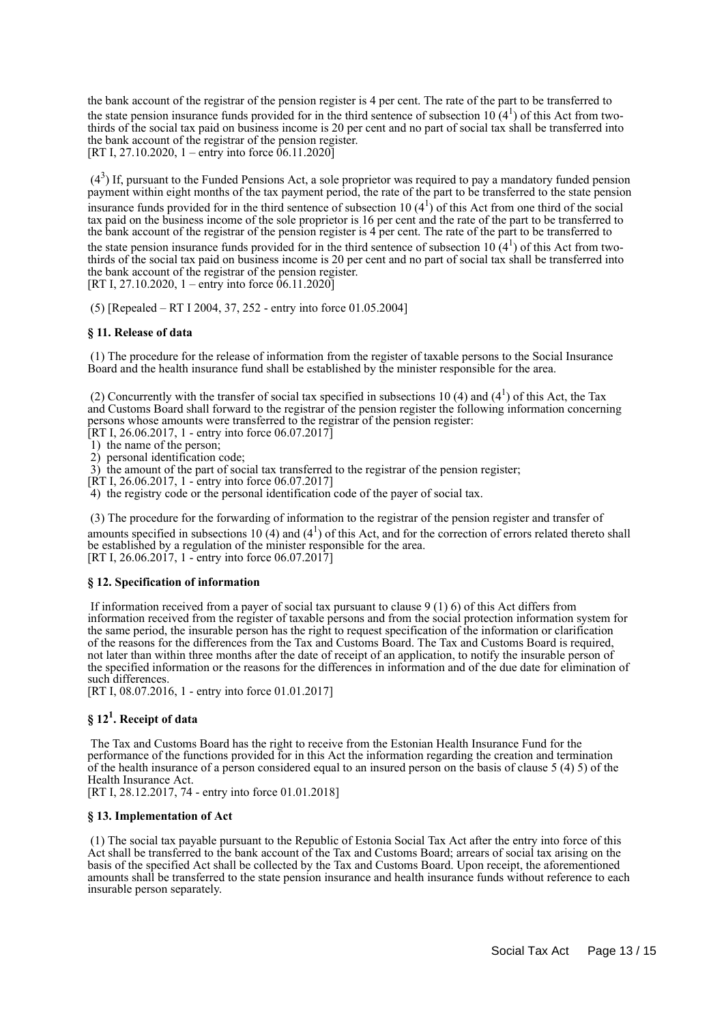the bank account of the registrar of the pension register is 4 per cent. The rate of the part to be transferred to the state pension insurance funds provided for in the third sentence of subsection 10  $(4^1)$  of this Act from twothirds of the social tax paid on business income is 20 per cent and no part of social tax shall be transferred into the bank account of the registrar of the pension register. [RT I, 27.10.2020, 1 – entry into force  $06.11.2020$ ]

 (4<sup>3</sup> ) If, pursuant to the Funded Pensions Act, a sole proprietor was required to pay a mandatory funded pension payment within eight months of the tax payment period, the rate of the part to be transferred to the state pension insurance funds provided for in the third sentence of subsection 10  $(4^1)$  of this Act from one third of the social tax paid on the business income of the sole proprietor is 16 per cent and the rate of the part to be transferred to the bank account of the registrar of the pension register is 4 per cent. The rate of the part to be transferred to the state pension insurance funds provided for in the third sentence of subsection 10  $(4^1)$  of this Act from twothirds of the social tax paid on business income is 20 per cent and no part of social tax shall be transferred into the bank account of the registrar of the pension register. [RT I, 27.10.2020, 1 – entry into force  $06.11.2020$ ]

(5) [Repealed – RT I 2004, 37, 252 - entry into force 01.05.2004]

#### **§ 11. Release of data**

 (1) The procedure for the release of information from the register of taxable persons to the Social Insurance Board and the health insurance fund shall be established by the minister responsible for the area.

(2) Concurrently with the transfer of social tax specified in subsections 10 (4) and (4<sup>1</sup>) of this Act, the Tax and Customs Board shall forward to the registrar of the pension register the following information concerning persons whose amounts were transferred to the registrar of the pension register:

[RT I, 26.06.2017, 1 - entry into force  $06.07.2017$ ]

1) the name of the person;

2) personal identification code;

3) the amount of the part of social tax transferred to the registrar of the pension register;

[RT I, 26.06.2017, 1 - entry into force 06.07.2017]

4) the registry code or the personal identification code of the payer of social tax.

 (3) The procedure for the forwarding of information to the registrar of the pension register and transfer of amounts specified in subsections 10 (4) and ( $4<sup>1</sup>$ ) of this Act, and for the correction of errors related thereto shall be established by a regulation of the minister responsible for the area. [RT I, 26.06.2017, 1 - entry into force 06.07.2017]

#### **§ 12. Specification of information**

If information received from a payer of social tax pursuant to clause  $9(1)$  6) of this Act differs from information received from the register of taxable persons and from the social protection information system for the same period, the insurable person has the right to request specification of the information or clarification of the reasons for the differences from the Tax and Customs Board. The Tax and Customs Board is required, not later than within three months after the date of receipt of an application, to notify the insurable person of the specified information or the reasons for the differences in information and of the due date for elimination of such differences.

[RT I, 08.07.2016, 1 - entry into force 01.01.2017]

# **§ 12<sup>1</sup> . Receipt of data**

 The Tax and Customs Board has the right to receive from the Estonian Health Insurance Fund for the performance of the functions provided for in this Act the information regarding the creation and termination of the health insurance of a person considered equal to an insured person on the basis of clause 5 (4) 5) of the Health Insurance Act.

[RT I, 28.12.2017, 74 - entry into force 01.01.2018]

#### **§ 13. Implementation of Act**

 (1) The social tax payable pursuant to the Republic of Estonia Social Tax Act after the entry into force of this Act shall be transferred to the bank account of the Tax and Customs Board; arrears of social tax arising on the basis of the specified Act shall be collected by the Tax and Customs Board. Upon receipt, the aforementioned amounts shall be transferred to the state pension insurance and health insurance funds without reference to each insurable person separately.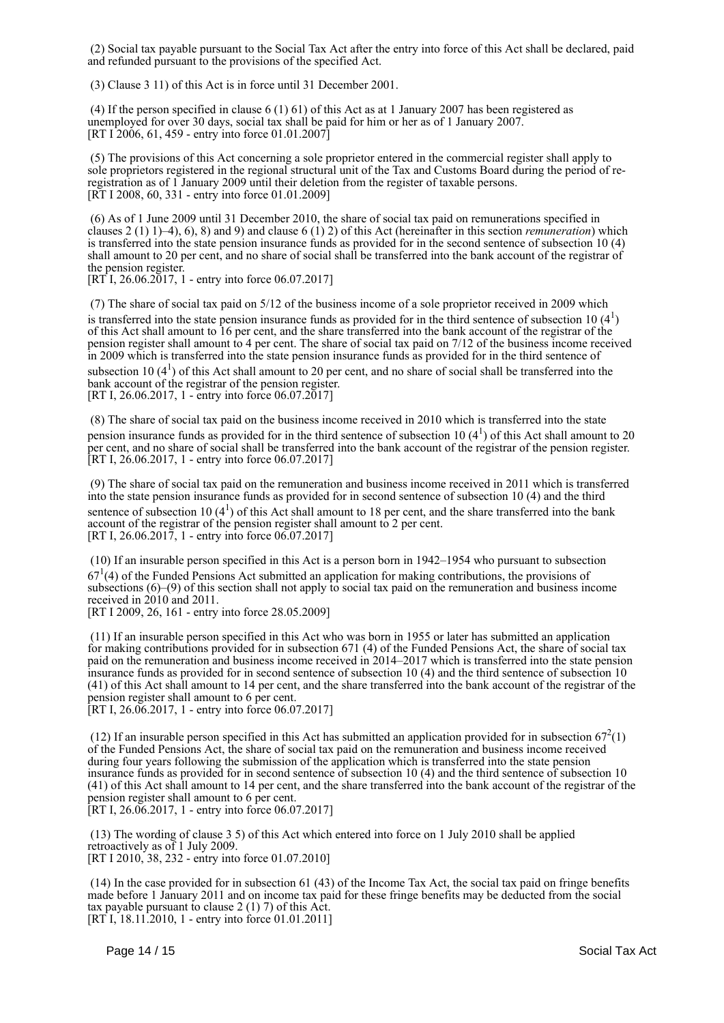(2) Social tax payable pursuant to the Social Tax Act after the entry into force of this Act shall be declared, paid and refunded pursuant to the provisions of the specified Act.

(3) Clause 3 11) of this Act is in force until 31 December 2001.

 (4) If the person specified in clause 6 (1) 61) of this Act as at 1 January 2007 has been registered as unemployed for over 30 days, social tax shall be paid for him or her as of 1 January 2007.  $[RT I^2 2006, 61, 459 - entry into force 01.01.2007]$ 

 (5) The provisions of this Act concerning a sole proprietor entered in the commercial register shall apply to sole proprietors registered in the regional structural unit of the Tax and Customs Board during the period of reregistration as of 1 January 2009 until their deletion from the register of taxable persons. [RT I 2008, 60, 331 - entry into force 01.01.2009]

 (6) As of 1 June 2009 until 31 December 2010, the share of social tax paid on remunerations specified in clauses  $2(1)$  1)–4), 6), 8) and 9) and clause 6  $(1)$  2) of this Act (hereinafter in this section *remuneration*) which is transferred into the state pension insurance funds as provided for in the second sentence of subsection 10 (4) shall amount to 20 per cent, and no share of social shall be transferred into the bank account of the registrar of the pension register.

 $[RT\ I, 26.06.2017, 1 - entry into force 06.07.2017]$ 

 (7) The share of social tax paid on 5/12 of the business income of a sole proprietor received in 2009 which is transferred into the state pension insurance funds as provided for in the third sentence of subsection 10 $(4<sup>1</sup>)$ of this Act shall amount to 16 per cent, and the share transferred into the bank account of the registrar of the pension register shall amount to 4 per cent. The share of social tax paid on 7/12 of the business income received in 2009 which is transferred into the state pension insurance funds as provided for in the third sentence of

subsection 10  $(4^1)$  of this Act shall amount to 20 per cent, and no share of social shall be transferred into the bank account of the registrar of the pension register.

[RT I, 26.06.2017, 1 - entry into force 06.07.2017]

 (8) The share of social tax paid on the business income received in 2010 which is transferred into the state pension insurance funds as provided for in the third sentence of subsection 10  $(4^1)$  of this Act shall amount to 20 per cent, and no share of social shall be transferred into the bank account of the registrar of the pension register. [RT I, 26.06.2017, 1 - entry into force 06.07.2017]

 (9) The share of social tax paid on the remuneration and business income received in 2011 which is transferred into the state pension insurance funds as provided for in second sentence of subsection 10 (4) and the third sentence of subsection 10  $(4^1)$  of this Act shall amount to 18 per cent, and the share transferred into the bank account of the registrar of the pension register shall amount to 2 per cent. [RT I, 26.06.2017, 1 - entry into force 06.07.2017]

 (10) If an insurable person specified in this Act is a person born in 1942–1954 who pursuant to subsection  $67<sup>1</sup>(4)$  of the Funded Pensions Act submitted an application for making contributions, the provisions of subsections (6)–(9) of this section shall not apply to social tax paid on the remuneration and business income received in 2010 and 2011.

[RT I 2009, 26, 161 - entry into force 28.05.2009]

 (11) If an insurable person specified in this Act who was born in 1955 or later has submitted an application for making contributions provided for in subsection 671 (4) of the Funded Pensions Act, the share of social tax paid on the remuneration and business income received in 2014–2017 which is transferred into the state pension insurance funds as provided for in second sentence of subsection 10 (4) and the third sentence of subsection 10 (41) of this Act shall amount to 14 per cent, and the share transferred into the bank account of the registrar of the pension register shall amount to 6 per cent.

[RT I, 26.06.2017, 1 - entry into force 06.07.2017]

(12) If an insurable person specified in this Act has submitted an application provided for in subsection  $67<sup>2</sup>(1)$ of the Funded Pensions Act, the share of social tax paid on the remuneration and business income received during four years following the submission of the application which is transferred into the state pension insurance funds as provided for in second sentence of subsection 10 (4) and the third sentence of subsection 10 (41) of this Act shall amount to 14 per cent, and the share transferred into the bank account of the registrar of the pension register shall amount to 6 per cent. [RT I, 26.06.2017, 1 - entry into force 06.07.2017]

 (13) The wording of clause 3 5) of this Act which entered into force on 1 July 2010 shall be applied retroactively as of 1 July 2009. [RT I 2010, 38, 232 - entry into force 01.07.2010]

 (14) In the case provided for in subsection 61 (43) of the Income Tax Act, the social tax paid on fringe benefits made before 1 January 2011 and on income tax paid for these fringe benefits may be deducted from the social tax payable pursuant to clause  $2(1)$  7) of this Act. [RT I, 18.11.2010, 1 - entry into force 01.01.2011]